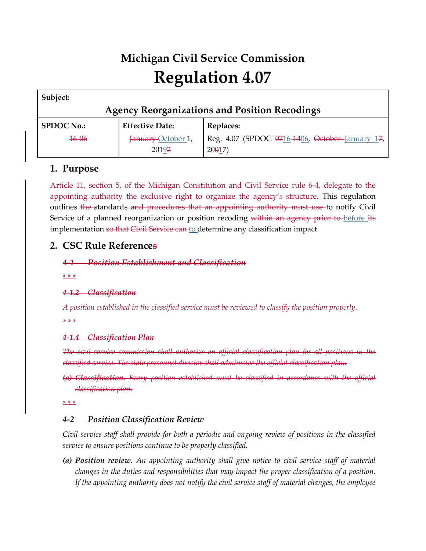# **Michigan Civil Service Commission Regulation 4.07**

| Subject:                                             |                        |                                                 |  |  |
|------------------------------------------------------|------------------------|-------------------------------------------------|--|--|
| <b>Agency Reorganizations and Position Recodings</b> |                        |                                                 |  |  |
| <b>SPDOC No.:</b>                                    | <b>Effective Date:</b> | Replaces:                                       |  |  |
| <del>16-06</del>                                     | January October 1,     | Reg. 4.07 (SPDOC 0716-1406, October-January 17, |  |  |
|                                                      | 20197                  | $20017$ )                                       |  |  |

## **1. Purpose**

Article 11, section 5, of the Michigan Constitution and Civil Service rule 6-4, delegate to the appointing authority the exclusive right to organize the agency's structure. This regulation outlines the standards and procedures that an appointing authority must use to notify Civil Service of a planned reorganization or position recoding within an agency prior to before its implementation so that Civil Service can to determine any classification impact.

# **2. CSC Rule References**

*4-1 Position Establishment and Classification*

*\* \* \** 

*4-1.2 Classification*

*A position established in the classified service must be reviewed to classify the position properly.*

*\* \* \** 

## *4-1.4 Classification Plan*

*The civil service commission shall authorize an official classification plan for all positions in the classified service. The state personnel director shall administer the official classification plan.*

*(a) Classification. Every position established must be classified in accordance with the official classification plan.*

*\* \* \** 

## *4-2 Position Classification Review*

*Civil service staff shall provide for both a periodic and ongoing review of positions in the classified service to ensure positions continue to be properly classified.*

*(a) Position review. An appointing authority shall give notice to civil service staff of material changes in the duties and responsibilities that may impact the proper classification of a position. If the appointing authority does not notify the civil service staff of material changes, the employee*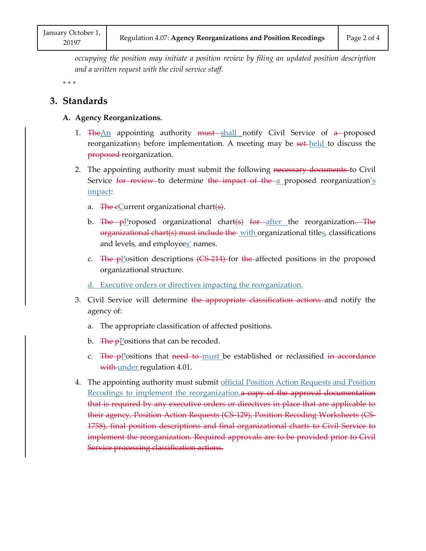*occupying the position may initiate a position review by filing an updated position description and a written request with the civil service staff.*

*\* \* \** 

## **3. Standards**

#### **A. Agency Reorganizations.**

- 1. The An appointing authority must shall notify Civil Service of  $a$ -proposed reorganizations before implementation. A meeting may be set-held to discuss the proposed-reorganization.
- 2. The appointing authority must submit the following necessary documents to Civil Service for review to determine the impact of the a proposed reorganization's impact:
	- a. The eCurrent organizational chart(s).
	- b. The pProposed organizational chart(s) for after the reorganization. The organizational chart(s) must include the with organizational titles, classifications and levels, and employees' names.
	- c. The  $p$ <sup>D</sup> osition descriptions (CS-214) for the affected positions in the proposed organizational structure.
	- d. Executive orders or directives impacting the reorganization.
- 3. Civil Service will determine the appropriate classification actions and notify the agency of:
	- a. The appropriate classification of affected positions.
	- b. The pPositions that can be recoded.
	- c. The pPositions that need to must be established or reclassified in accordance with-under regulation 4.01.
- 4. The appointing authority must submit official Position Action Requests and Position Recodings to implement the reorganization. a copy of the approval documentation that is required by any executive orders or directives in place that are applicable to their agency, Position Action Requests (CS-129), Position Recoding Worksheets (CS-1758), final position descriptions and final organizational charts to Civil Service to implement the reorganization. Required approvals are to be provided prior to Civil Service processing classification actions.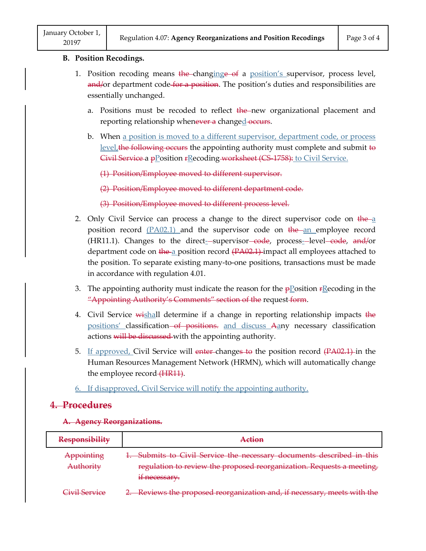#### **B. Position Recodings.**

- 1. Position recoding means the-changinge of a position's supervisor, process level, and/or department code for a position. The position's duties and responsibilities are essentially unchanged.
	- a. Positions must be recoded to reflect the new organizational placement and reporting relationship whenever a changed occurs.
	- b. When a position is moved to a different supervisor, department code, or process  $level<sub>i</sub>$  the following occurs the appointing authority must complete and submit to Givil Service a pPosition rRecoding worksheet (CS-1758): to Civil Service. Positions must be recode<br>reporting relationship whe<br>When <u>a position is moved</u><br>level, the following occurs<br>Givil Service a p<u>P</u>osition  $F_2$ <br>(1) Position/Employee mo

(1) Position/Employee moved to different supervisor.

(2) Position/Employee moved to different department code.

(3) Position/Employee moved to different process level.

- 2. Only Civil Service can process a change to the direct supervisor code on  $\frac{1}{2}$ position record  $(PA02.1)$  and the supervisor code on the an employee record (HR11.1). Changes to the direct-supervisor-code, process-level-code, and/or department code on the a position record (PA02.1) impact all employees attached to the position. To separate existing many-to-one positions, transactions must be made in accordance with regulation 4.01.
- 3. The appointing authority must indicate the reason for the  $\frac{p}{p}$  osition  $\frac{r}{p}$  recoding in the "Appointing Authority's Comments" section of the request form.
- 4. Civil Service wishall determine if a change in reporting relationship impacts the positions' classification<del> of positions.</del> and discuss Aany necessary classification actions will be discussed with the appointing authority.
- 5. If approved, Civil Service will enter changes to the position record (PA02.1) in the Human Resources Management Network (HRMN), which will automatically change the employee record (HR11).
- 6. If disapproved, Civil Service will notify the appointing authority.

## **4. Procedures**

#### **A. Agency Reorganizations.**

| <b>Responsibility</b> | Action                                                                   |
|-----------------------|--------------------------------------------------------------------------|
| Appointing            | 1. Submits to Civil Service the necessary documents described in this    |
| Authority             | regulation to review the proposed reorganization. Requests a meeting,    |
|                       | if necessary.                                                            |
| Civil Sorvico         | 2. Reviews the proposed reorganization and, if necessary, meets with the |